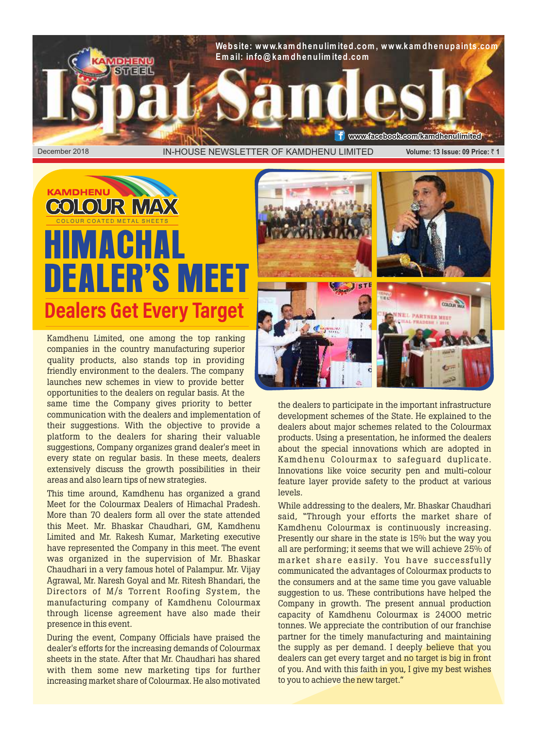

## **KAMDHENU COLOUR MAX** HIMACHAL DEALER'S ME **Dealers Get Every Target**

Kamdhenu Limited, one among the top ranking companies in the country manufacturing superior quality products, also stands top in providing friendly environment to the dealers. The company launches new schemes in view to provide better opportunities to the dealers on regular basis. At the

same time the Company gives priority to better communication with the dealers and implementation of their suggestions. With the objective to provide a platform to the dealers for sharing their valuable suggestions, Company organizes grand dealer's meet in every state on regular basis. In these meets, dealers extensively discuss the growth possibilities in their areas and also learn tips of new strategies.

This time around, Kamdhenu has organized a grand Meet for the Colourmax Dealers of Himachal Pradesh. More than 70 dealers form all over the state attended this Meet. Mr. Bhaskar Chaudhari, GM, Kamdhenu Limited and Mr. Rakesh Kumar, Marketing executive have represented the Company in this meet. The event was organized in the supervision of Mr. Bhaskar Chaudhari in a very famous hotel of Palampur. Mr. Vijay Agrawal, Mr. Naresh Goyal and Mr. Ritesh Bhandari, the Directors of M/s Torrent Roofing System, the manufacturing company of Kamdhenu Colourmax through license agreement have also made their presence in this event.

During the event, Company Officials have praised the dealer's efforts for the increasing demands of Colourmax sheets in the state. After that Mr. Chaudhari has shared with them some new marketing tips for further increasing market share of Colourmax. He also motivated



the dealers to participate in the important infrastructure development schemes of the State. He explained to the dealers about major schemes related to the Colourmax products. Using a presentation, he informed the dealers about the special innovations which are adopted in Kamdhenu Colourmax to safeguard duplicate. Innovations like voice security pen and multi-colour feature layer provide safety to the product at various levels.

While addressing to the dealers, Mr. Bhaskar Chaudhari said, "Through your efforts the market share of Kamdhenu Colourmax is continuously increasing. Presently our share in the state is 15% but the way you all are performing; it seems that we will achieve 25% of market share easily. You have successfully communicated the advantages of Colourmax products to the consumers and at the same time you gave valuable suggestion to us. These contributions have helped the Company in growth. The present annual production capacity of Kamdhenu Colourmax is 24000 metric tonnes. We appreciate the contribution of our franchise partner for the timely manufacturing and maintaining the supply as per demand. I deeply believe that you dealers can get every target and no target is big in front of you. And with this faith in you, I give my best wishes to you to achieve the new target."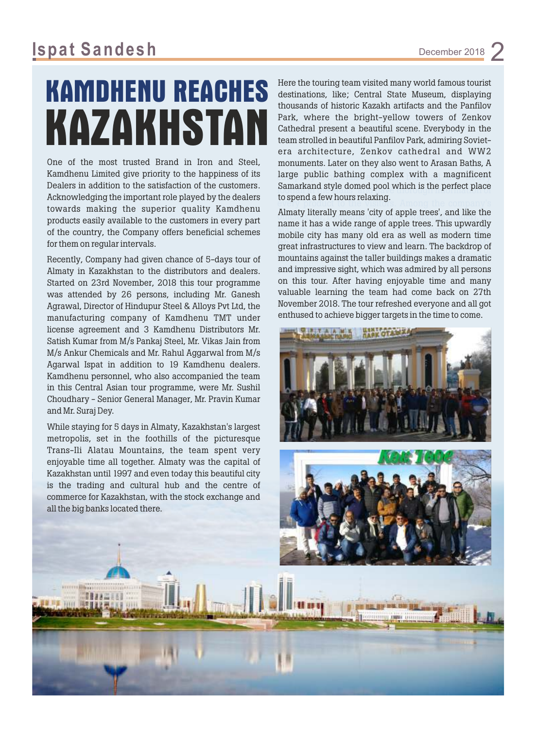## **KAMDHENU REACHES** KAZAKHST

One of the most trusted Brand in Iron and Steel, Kamdhenu Limited give priority to the happiness of its Dealers in addition to the satisfaction of the customers. Acknowledging the important role played by the dealers towards making the superior quality Kamdhenu products easily available to the customers in every part of the country, the Company offers beneficial schemes for them on regular intervals.

Recently, Company had given chance of 5-days tour of Almaty in Kazakhstan to the distributors and dealers. Started on 23rd November, 2018 this tour programme was attended by 26 persons, including Mr. Ganesh Agrawal, Director of Hindupur Steel & Alloys Pvt Ltd, the manufacturing company of Kamdhenu TMT under license agreement and 3 Kamdhenu Distributors Mr. Satish Kumar from M/s Pankaj Steel, Mr. Vikas Jain from M/s Ankur Chemicals and Mr. Rahul Aggarwal from M/s Agarwal Ispat in addition to 19 Kamdhenu dealers. Kamdhenu personnel, who also accompanied the team in this Central Asian tour programme, were Mr. Sushil Choudhary - Senior General Manager, Mr. Pravin Kumar and Mr. Suraj Dey.

While staying for 5 days in Almaty, Kazakhstan's largest metropolis, set in the foothills of the picturesque Trans-Ili Alatau Mountains, the team spent very enjoyable time all together. Almaty was the capital of Kazakhstan until 1997 and even today this beautiful city is the trading and cultural hub and the centre of commerce for Kazakhstan, with the stock exchange and all the big banks located there.

large public bathing complex with a magnificent Samarkand style domed pool which is the perfect place Here the touring team visited many world famous tourist destinations, like; Central State Museum, displaying thousands of historic Kazakh artifacts and the Panfilov Park, where the bright-yellow towers of Zenkov Cathedral present a beautiful scene. Everybody in the team strolled in beautiful Panfilov Park, admiring Sovietera architecture, Zenkov cathedral and WW2 monuments. Later on they also went to Arasan Baths, A to spend a few hours relaxing.

every product to the visitors. Among the company's Annary including means city of apple trees, and the the name it has a wide range of apple trees. This upwardly mobile city has many old era as well as modern time great infrastructures to view and learn. The backdrop of mountains against the taller buildings makes a dramatic and impressive sight, which was admired by all persons Almaty literally means 'city of apple trees', and like the on this tour. After having enjoyable time and many valuable learning the team had come back on 27th November 2018. The tour refreshed everyone and all got enthused to achieve bigger targets in the time to come.



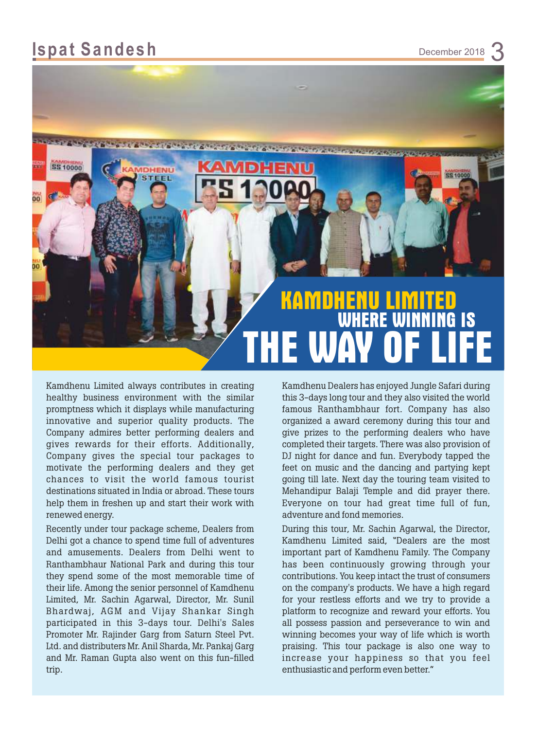

Kamdhenu Limited always contributes in creating healthy business environment with the similar promptness which it displays while manufacturing innovative and superior quality products. The Company admires better performing dealers and gives rewards for their efforts. Additionally, Company gives the special tour packages to motivate the performing dealers and they get chances to visit the world famous tourist destinations situated in India or abroad. These tours help them in freshen up and start their work with renewed energy.

Recently under tour package scheme, Dealers from Delhi got a chance to spend time full of adventures and amusements. Dealers from Delhi went to Ranthambhaur National Park and during this tour they spend some of the most memorable time of their life. Among the senior personnel of Kamdhenu Limited, Mr. Sachin Agarwal, Director, Mr. Sunil Bhardwaj, AGM and Vijay Shankar Singh participated in this 3-days tour. Delhi's Sales Promoter Mr. Rajinder Garg from Saturn Steel Pvt. Ltd. and distributers Mr. Anil Sharda, Mr. Pankaj Garg and Mr. Raman Gupta also went on this fun-filled trip.

Kamdhenu Dealers has enjoyed Jungle Safari during this 3-days long tour and they also visited the world famous Ranthambhaur fort. Company has also organized a award ceremony during this tour and give prizes to the performing dealers who have completed their targets. There was also provision of DJ night for dance and fun. Everybody tapped the feet on music and the dancing and partying kept going till late. Next day the touring team visited to Mehandipur Balaji Temple and did prayer there. Everyone on tour had great time full of fun, adventure and fond memories.

During this tour, Mr. Sachin Agarwal, the Director, Kamdhenu Limited said, "Dealers are the most important part of Kamdhenu Family. The Company has been continuously growing through your contributions. You keep intact the trust of consumers on the company's products. We have a high regard for your restless efforts and we try to provide a platform to recognize and reward your efforts. You all possess passion and perseverance to win and winning becomes your way of life which is worth praising. This tour package is also one way to increase your happiness so that you feel enthusiastic and perform even better."